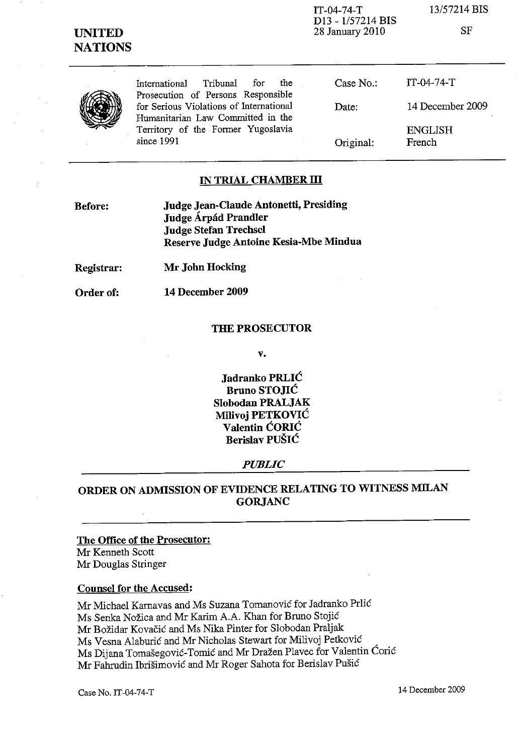

1T-04-74-T D13 - 1/57214 BIS 28 January 2010

13/57214 BIS

SF

| Tribunal<br>the<br>for.<br>International<br>Prosecution of Persons Responsible | Case No.: | TT-04-74-T               |
|--------------------------------------------------------------------------------|-----------|--------------------------|
| for Serious Violations of International<br>Humanitarian Law Committed in the   | Date:     | 14 December 2009         |
| Territory of the Former Yugoslavia<br>since $1991$                             | Original: | <b>ENGLISH</b><br>French |

### IN TRIAL CHAMBER III

| <b>Before:</b> | <b>Judge Jean-Claude Antonetti, Presiding</b> |  |
|----------------|-----------------------------------------------|--|
|                | Judge Árpád Prandler                          |  |
|                | Judge Stefan Trechsel                         |  |
|                | Reserve Judge Antoine Kesia-Mbe Mindua        |  |

Registrar: Mr John Hocking

Order of:

14 December 2009

#### THE PROSECUTOR

v.

Jadranko PRLIC Bruno STOJIC Slobodan PRALJAK Milivoj PETKOVIC Valentin CORIC Berislav PUŠIĆ

#### *PUBLIC*

## ORDER ON ADMISSION OF EVIDENCE RELATING TO WITNESS MILAN GORJANC

### The Office of the Prosecutor:

Mr Kenneth Scott Mr Douglas Stringer

### Counsel for the Accused:

Mr Michael Karnavas and Ms Suzana Tomanović for Jadranko Prlić Ms Senka Nozica and Mr Karim A.A. Khan for Bruno Stojic Mr Bozidar Kovacic and Ms Nika Pinter for Slobodan Praljak Ms Vesna Alaburić and Mr Nicholas Stewart for Milivoj Petković Ms Dijana Tomašegović-Tomić and Mr Dražen Plavec for Valentin Ćorić Mr Fahrudin Ibrišimović and Mr Roger Sahota for Berislav Pušić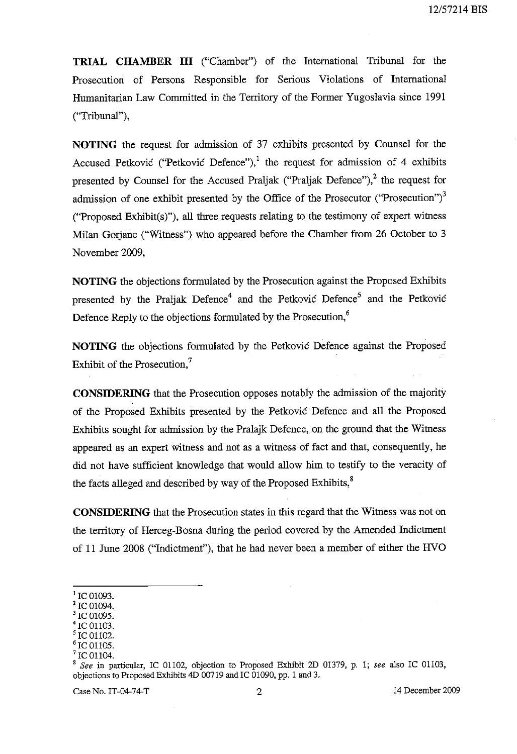**TRIAL CHAMBER III** ("Chamber") of the International Tribunal for the Prosecution of Persons Responsible for Serious Violations of International Humanitarian Law Committed in the Territory of the Former Yugoslavia since 1991 ("Tribunal"),

**NOTING** the request for admission of 37 exhibits presented by Counsel for the Accused Petković ("Petković Defence"),<sup>1</sup> the request for admission of 4 exhibits presented by Counsel for the Accused Praljak ("Praljak Defence"),<sup>2</sup> the request for admission of one exhibit presented by the Office of the Prosecutor ("Prosecution") $3$ ("Proposed Exhibit(s)"), all three requests relating to the testimony of expert witness Milan Gorjanc ("Witness") who appeared before the Chamber from 26 October to 3 November 2009,

**NOTING** the objections formulated by the Prosecution against the Proposed Exhibits presented by the Praljak Defence<sup>4</sup> and the Petkovic Defence<sup>5</sup> and the Petkovic Defence Reply to the objections formulated by the Prosecution,<sup>6</sup>

**NOTING** the objections formulated by the Petkovic Defence against the Proposed Exhibit of the Prosecution,<sup>7</sup>

**CONSIDERING** that the Prosecution opposes notably the admission of the majority of the Proposed Exhibits presented by the Petkovic Defence and all the Proposed Exhibits sought for admission by the Pralajk Defence, on the ground that the Witness appeared as an expert witness and not as a witness of fact and that, consequently, he did not have sufficient knowledge that would allow him to testify to the veracity of the facts alleged and described by way of the Proposed Exhibits, $8<sup>8</sup>$ 

**CONSIDERING** that the Prosecution states in this regard that the Witness was not on the territory of Herceg-Bosna during the period covered by the Amended Indictment of 11 June 2008 ("Indictment"), that he had never been a member of either the HVO

- IC 01103.
- IC 01102.
- IC 01105. IC 01104.

 $^{1}$  IC 01093.

 $^2$  IC 01094.

IC 01095.

<sup>8</sup>*See* in particular, rc 01102, objection to Proposed Exhibit 2D 01379, p. 1; *see* also rc 01103, objections to Proposed Exhibits 4D 00719 and IC 01090, pp. 1 and 3.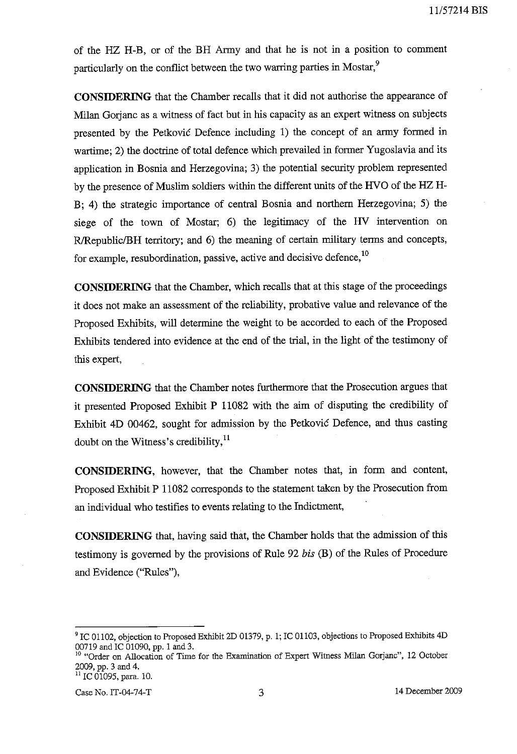of the HZ H-B, or of the BH Anny and that he is not in a position to comment particularly on the conflict between the two warring parties in Mostar.<sup>9</sup>

**CONSIDERING** that the Chamber recalls that it did not authorise the appearance of Milan Gorjanc as a witness of fact but in his capacity as an expert witness on subjects presented by the Petkovic Defence including 1) the concept of an army fonned in wartime; 2) the doctrine of total defence which prevailed in former Yugoslavia and its application in Bosnia and Herzegovina; 3) the potential security problem represented by the presence of Muslim soldiers within the different units of the RVO of the HZ H-B; 4) the strategic importance of central Bosnia and northern Herzegovina; 5) the siege of the town of Mostar; 6) the legitimacy of the RV intervention on R/Republic/BH territory; and 6) the meaning of certain military terms and concepts, for example, resubordination, passive, active and decisive defence,  $^{10}$ 

**CONSIDERING** that the Chamber, which recalls that at this stage of the proceedings it does not make an assessment of the reliability, probative value and relevance of the Proposed Exhibits, will determine the weight to be accorded to each of the Proposed Exhibits tendered into evidence at the end of the trial, in the light of the testimony of this expert,

**CONSIDERING** that the Chamber notes furthennore that the Prosecution argues that it presented Proposed Exhibit P 11082 with the aim of disputing the credibility of Exhibit 4D 00462, sought for admission by the Petkovic Defence, and thus casting doubt on the Witness's credibility,<sup>11</sup>

**CONSIDERING,** however, that the Chamber notes that, in fonn and content, Proposed Exhibit P 11082 corresponds to the statement taken by the Prosecution from an individual who testifies to events relating to the Indictment,

**CONSIDERING** that, having said that, the Chamber holds that the admission of this testimony is governed by the provisions of Rule 92 *bis* (B) of the Rules of Procedure and Evidence ("Rules"),

<sup>&</sup>lt;sup>9</sup> IC 01102, objection to Proposed Exhibit 2D 01379, p. 1; IC 01103, objections to Proposed Exhibits 4D 00719 and IC 01090, pp. 1 and 3.

<sup>&</sup>lt;sup>10</sup> "Order on Allocation of Time for the Examination of Expert Witness Milan Gorjanc", 12 October 2009, pp. 3 and 4.

<sup>&</sup>lt;sup>11</sup> IC 01095, para. 10.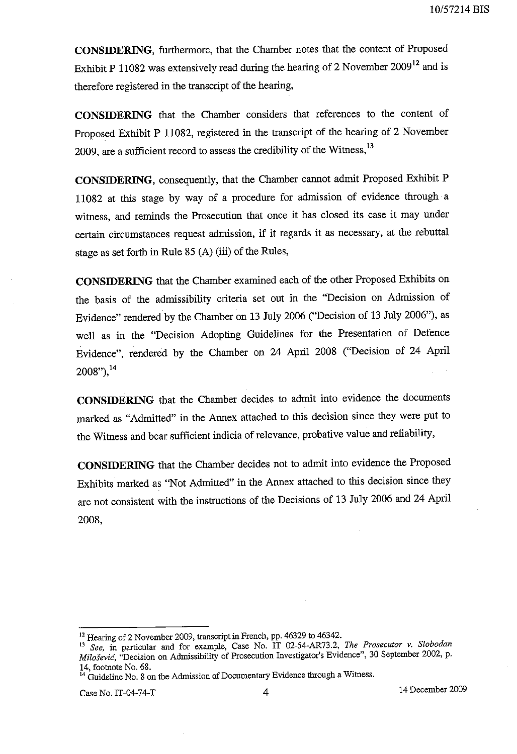**CONSIDERING,** furthermore, that the Chamber notes that the content of Proposed Exhibit P 11082 was extensively read during the hearing of 2 November 2009<sup>12</sup> and is therefore registered in the transcript of the hearing,

**CONSIDERING** that the Chamber considers that references to the content of Proposed Exhibit P 11082, registered in the transcript of the hearing of 2 November 2009, are a sufficient record to assess the credibility of the Witness,<sup>13</sup>

**CONSIDERING,** consequently, that the Chamber cannot admit Proposed Exhibit P 11082 at this stage by way of a procedure for admission of evidence through a witness, and reminds the Prosecution that once it has closed its case it may under certain circumstances request admission, if it regards it as necessary, at the rebuttal stage as set forth in Rule 85 (A) (iii) of the Rules,

**CONSIDERING** that the Chamber examined each of the other Proposed Exhibits on the basis of the admissibility criteria set out in the "Decision on Admission of Evidence" rendered by the Chamber on 13 July 2006 ("Decision of 13 July 2006"), as well as in the "Decision Adopting Guidelines for the Presentation of Defence Evidence", rendered by the Chamber on 24 April 2008 ("Decision of 24 April 2008"),14

**CONSIDERING** that the Chamber decides to admit into evidence the documents marked as "Admitted" in the Annex attached to this decision since they were put to the Witness and bear sufficient indicia of relevance, probative value and reliability,

**CONSIDERING** that the Chamber decides not to admit into evidence the Proposed Exhibits marked as "Not Admitted" in the Annex attached to this decision since they are not consistent with the instructions of the Decisions of 13 July 2006 and 24 April 2008,

<sup>&</sup>lt;sup>12</sup> Hearing of 2 November 2009, transcript in French, pp. 46329 to 46342.

<sup>13</sup>*See,* in particular and for example, Case No. IT 02-54-AR73.2, *The Prosecutor* v. *Slobodan Milosevie,* "Decision on Admissibility of Prosecution Investigator's Evidence", 30 September 2002, p. 14, footnote No. 68.

<sup>&</sup>lt;sup>14</sup> Guideline No. 8 on the Admission of Documentary Evidence through a Witness.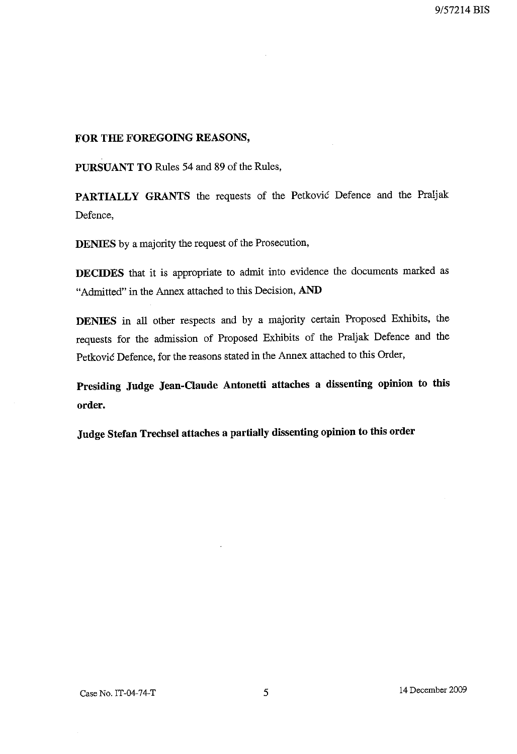### **FOR THE FOREGOING REASONS,**

**PURSUANT TO** Rules 54 and 89 of the Rules,

**PARTIALLY GRANTS** the requests of the Petkovic Defence and the Praljak Defence,

**DENIES** by a majority the request of the Prosecution,

**DECIDES** that it is appropriate to admit into evidence the documents marked as "Admitted" in the Annex attached to this Decision, **AND** 

**DENIES** in all other respects and by a majority certain Proposed Exhibits, the requests for the admission of Proposed Exhibits of the Praljak Defence and the Petkovic Defence, for the reasons stated in the Annex attached to this Order,

**Presiding Judge Jean-Claude Antonetti attaches a dissenting opinion to this order.** 

**Judge Stefan Trechsel attaches a partially dissenting opinion to this order**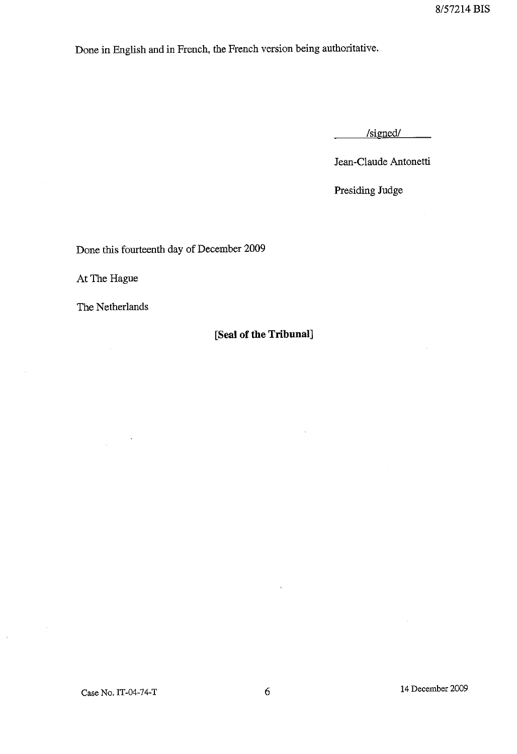Done in English and in French, the French version being authoritative.

 $/signed/$ 

Jean-C1aude Antonetti

Presiding Judge

Done this fourteenth day of December 2009

At The Hague

The Netherlands

 $\sim$   $\sim$ 

## **[Seal of the Tribunal]**

 $\ddot{\phantom{a}}$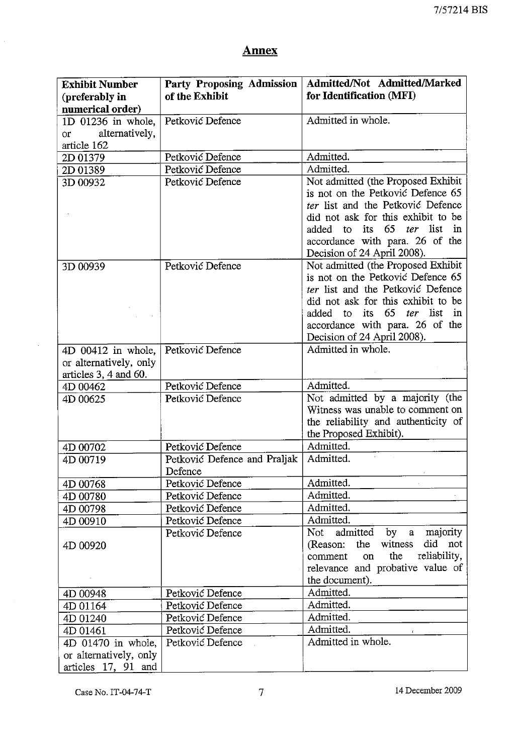## Annex

| <b>Exhibit Number</b>       | <b>Party Proposing Admission</b> | Admitted/Not Admitted/Marked                   |
|-----------------------------|----------------------------------|------------------------------------------------|
| (preferably in              | of the Exhibit                   | for Identification (MFI)                       |
| numerical order)            |                                  |                                                |
| 1D 01236 in whole,          | Petković Defence                 | Admitted in whole.                             |
| alternatively,<br><b>or</b> |                                  |                                                |
| article 162                 |                                  |                                                |
| 2D 01379                    | Petković Defence                 | Admitted.                                      |
| 2D 01389                    | Petković Defence                 | Admitted.                                      |
| 3D 00932                    | Petković Defence                 | Not admitted (the Proposed Exhibit             |
|                             |                                  | is not on the Petković Defence 65              |
|                             |                                  | ter list and the Petković Defence              |
|                             |                                  | did not ask for this exhibit to be             |
|                             |                                  | 65<br>its<br><i>ter</i> list<br>in<br>added to |
|                             |                                  | accordance with para. 26 of the                |
|                             |                                  | Decision of 24 April 2008).                    |
| 3D 00939                    | Petković Defence                 | Not admitted (the Proposed Exhibit             |
|                             |                                  | is not on the Petković Defence 65              |
|                             |                                  | ter list and the Petković Defence              |
|                             |                                  | did not ask for this exhibit to be             |
|                             |                                  | 65<br>list<br>its<br>ter<br>added<br>to<br>in  |
|                             |                                  | accordance with para. 26 of the                |
|                             |                                  | Decision of 24 April 2008).                    |
| $4D$ 00412 in whole,        | Petković Defence                 | Admitted in whole.                             |
| or alternatively, only      |                                  |                                                |
| articles $3, 4$ and $60$ .  |                                  |                                                |
| 4D 00462                    | Petković Defence                 | Admitted.                                      |
| 4D 00625                    | Petković Defence                 | Not admitted by a majority (the                |
|                             |                                  | Witness was unable to comment on               |
|                             |                                  | the reliability and authenticity of            |
|                             |                                  | the Proposed Exhibit).                         |
| 4D 00702                    | Petković Defence                 | Admitted.                                      |
| 4D 00719                    | Petković Defence and Praljak     | Admitted.                                      |
|                             | Defence                          |                                                |
| 4D 00768                    | Petković Defence                 | Admitted.                                      |
| 4D 00780                    | Petković Defence                 | Admitted.                                      |
| 4D 00798                    | Petković Defence                 | Admitted.                                      |
| 4D 00910                    | Petković Defence                 | Admitted.                                      |
|                             | Petković Defence                 | admitted by a majority<br>Not                  |
| 4D 00920                    |                                  | witness<br>did not<br>(Reason:<br>the          |
|                             |                                  | the<br>reliability,<br>comment<br>on           |
|                             |                                  | relevance and probative value of               |
|                             |                                  | the document).                                 |
| 4D 00948                    | Petković Defence                 | Admitted.                                      |
| 4D 01164                    | Petković Defence                 | Admitted.                                      |
| 4D 01240                    | Petković Defence                 | Admitted.                                      |
| 4D 01461                    | Petković Defence                 | Admitted.                                      |
| 4D 01470 in whole,          | Petković Defence                 | Admitted in whole.                             |
| or alternatively, only      |                                  |                                                |
| articles 17, 91 and         |                                  |                                                |

 $\hat{\boldsymbol{\gamma}}$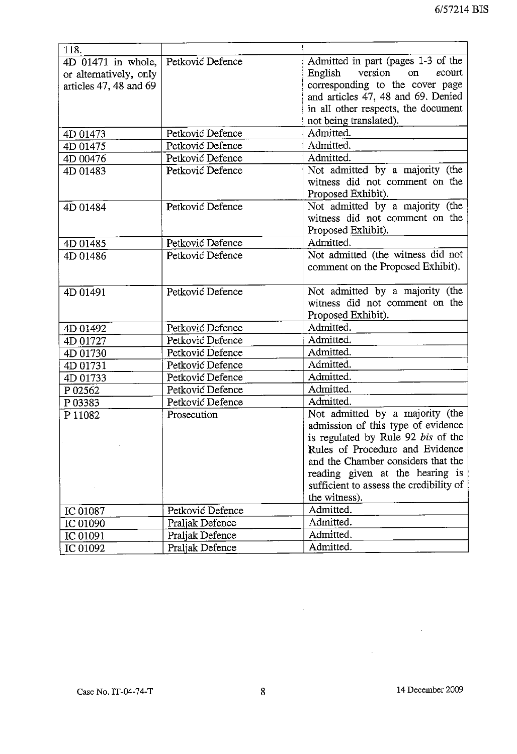| 118.                       |                  |                                         |
|----------------------------|------------------|-----------------------------------------|
| 4D 01471 in whole, $\vert$ | Petković Defence | Admitted in part (pages 1-3 of the      |
| or alternatively, only     |                  | version on<br>ecourt<br>English         |
| articles 47, 48 and 69     |                  | corresponding to the cover page         |
|                            |                  | and articles 47, 48 and 69. Denied      |
|                            |                  | in all other respects, the document     |
|                            |                  | not being translated).                  |
| 4D 01473                   | Petković Defence | Admitted.                               |
| 4D 01475                   | Petković Defence | Admitted.                               |
| 4D 00476                   | Petković Defence | Admitted.                               |
| 4D 01483                   | Petković Defence | Not admitted by a majority (the         |
|                            |                  | witness did not comment on the          |
|                            |                  | Proposed Exhibit).                      |
| 4D 01484                   | Petković Defence | Not admitted by a majority (the         |
|                            |                  | witness did not comment on the          |
|                            |                  | Proposed Exhibit).                      |
| 4D 01485                   | Petković Defence | Admitted.                               |
| 4D 01486                   | Petković Defence | Not admitted (the witness did not       |
|                            |                  | comment on the Proposed Exhibit).       |
|                            |                  |                                         |
| 4D 01491                   | Petković Defence | Not admitted by a majority (the         |
|                            |                  | witness did not comment on the          |
|                            |                  | Proposed Exhibit).                      |
| 4D 01492                   | Petković Defence | Admitted.                               |
| 4D 01727                   | Petković Defence | Admitted.                               |
| 4D 01730                   | Petković Defence | Admitted.                               |
| 4D 01731                   | Petković Defence | Admitted.                               |
| 4D 01733                   | Petković Defence | Admitted.                               |
| P 02562                    | Petković Defence | Admitted.                               |
| P03383                     | Petković Defence | Admitted.                               |
| P 11082                    | Prosecution      | Not admitted by a majority (the         |
|                            |                  | admission of this type of evidence      |
|                            |                  | is regulated by Rule 92 bis of the      |
|                            |                  | Rules of Procedure and Evidence         |
|                            |                  | and the Chamber considers that the      |
|                            |                  | reading given at the hearing is         |
|                            |                  | sufficient to assess the credibility of |
|                            |                  | the witness).                           |
| IC 01087                   | Petković Defence | Admitted.                               |
| IC 01090                   | Praljak Defence  | Admitted.                               |
| IC 01091                   | Praljak Defence  | Admitted.                               |
| IC 01092                   | Praljak Defence  | Admitted.                               |

 $\cdot$ 

 $\sim$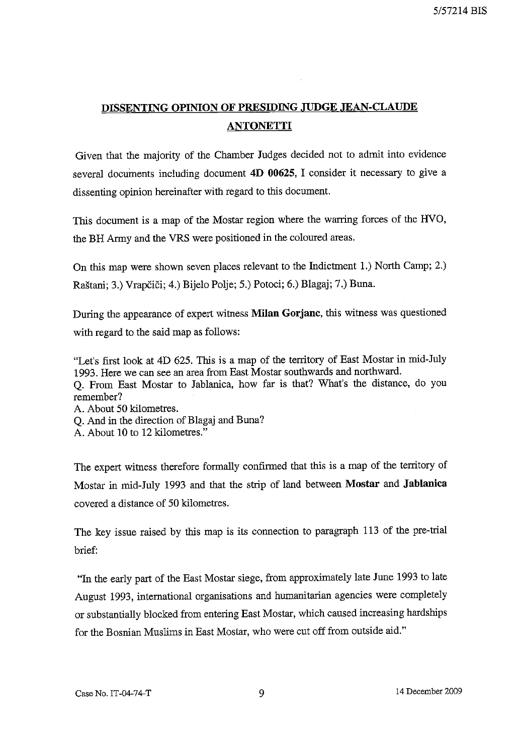# DISSENTING OPINION OF PRESIDING JUDGE JEAN-CLAUDE ANTONETTI

Given that the majority of the Chamber Judges decided not to admit into evidence several documents including document 4D 00625, I consider it necessary to give a dissenting opinion hereinafter with regard to this document.

This document is a map of the Mostar region where the warring forces of the HVO, the BH Army and the VRS were positioned in the coloured areas.

On this map were shown seven places relevant to the Indictment 1.) North Camp; 2.) Rastani; 3.) Vrapcici; 4.) Bijelo Polje; 5.) Potoci; 6.) Blagaj; 7.) Buna.

During the appearance of expert witness Milan Gorjanc, this witness was questioned with regard to the said map as follows:

"Let's first look at 4D 625. This is a map of the territory of East Mostar in mid-July 1993. Here we can see an area from East Mostar southwards and northward.

Q. From East Mostar to Jablanica, how far is that? What's the distance, do you remember?

A. About 50 kilometres.

Q. And in the direction of Blagaj and Buna?

A. About 10 to 12 kilometres."

The expert witness therefore formally confirmed that this is a map of the territory of Mostar in mid-July 1993 and that the strip of land between Mostar and Jablanica covered a distance of 50 kilometres.

The key issue raised by this map is its connection to paragraph 113 of the pre-trial brief:

"In the early part of the East Mostar siege, from approximately late June 1993 to late August 1993, international organisations and humanitarian agencies were completely or substantially blocked from entering East Mostar, which caused increasing hardships for the Bosnian Muslims in East Mostar, who were cut off from outside aid."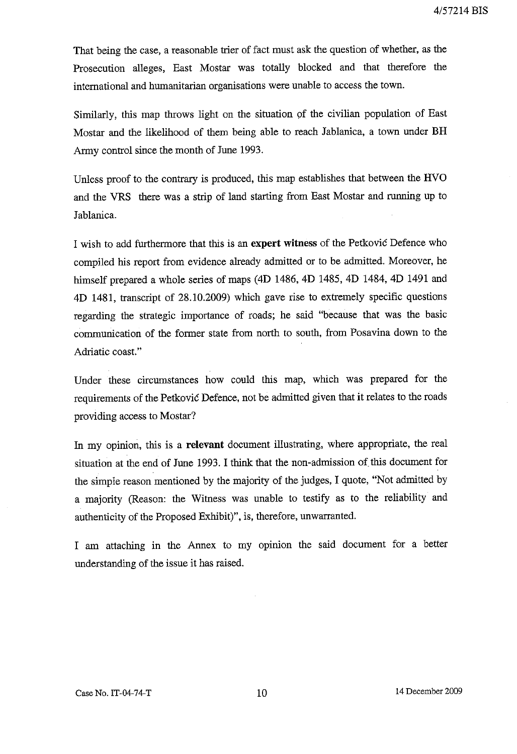That being the case, a reasonable trier of fact must ask the question of whether, as the Prosecution alleges, East Mostar was totally blocked and that therefore the international and humanitarian organisations were unable to access the town.

Similarly, this map throws light on the situation of the civilian population of East Mostar and the likelihood of them being able to reach Jablanica, a town under **BH**  Army control since the month of June 1993.

Unless proof to the contrary is produced, this map establishes that between the HVO and the VRS there was a strip of land starting from East Mostar and running up to Jablanica.

I wish to add furthermore that this is an **expert witness** of the Petkovic Defence who compiled his report from evidence already admitted or to be admitted. Moreover, he himself prepared a whole series of maps (4D 1486, 4D 1485, 4D 1484, 4D 1491 and 4D 1481, transcript of 28.10.2009) which gave rise to extremely specific questions regarding the strategic importance of roads; he said "because that was the basic communication of the former state from north to south, from Posavina down to the Adriatic coast."

Under these circumstances how could this map, which was prepared for the requirements of the Petkovic Defence, not be admitted given that it relates to the roads providing access to Mostar?

In my opinion, this is a **relevant** document illustrating, where appropriate, the real situation at the end of June 1993. I think that the non-admission of. this document for the simple reason mentioned by the majority of the judges, I quote, "Not admitted by a majority (Reason: the Witness was unable to testify as to the reliability and authenticity of the Proposed Exhibit)", is, therefore, unwarranted.

I am attaching in the Annex to my opinion the said document for a better understanding of the issue it has raised.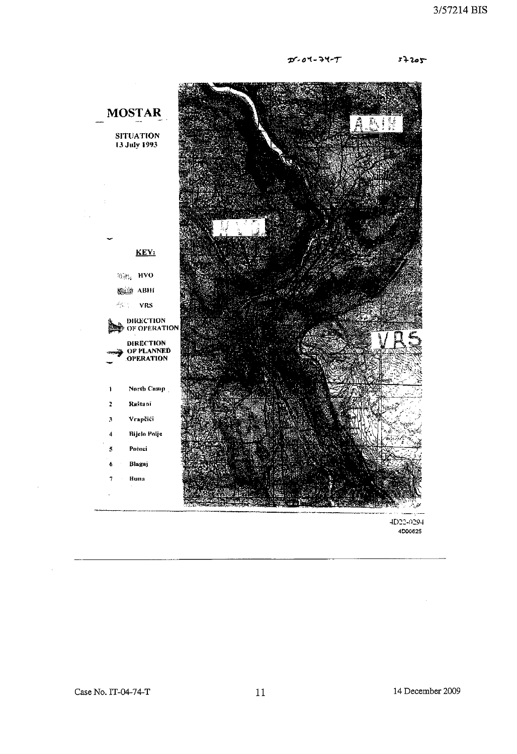$D - 01 - 71 - T$ 

 $5 + 205$ 

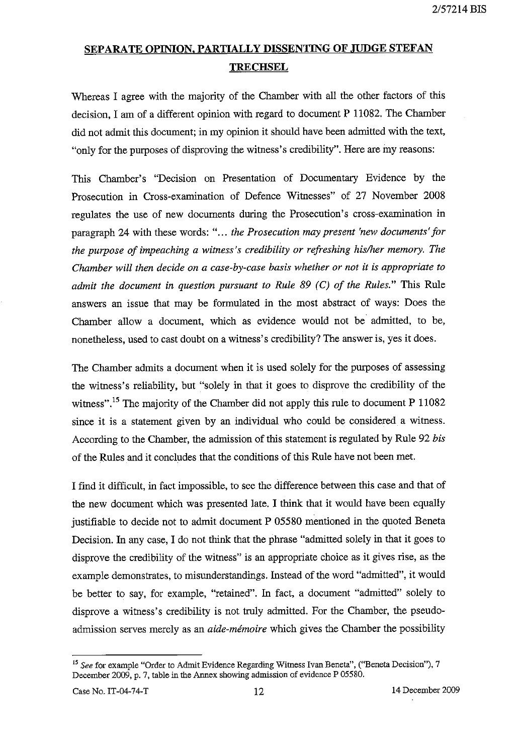# SEPARATE OPINION, PARTIALLY DISSENTING OF JUDGE STEFAN **TRECHSEL**

Whereas I agree with the majority of the Chamber with all the other factors of this decision, I am of a different opinion with regard to document P 11082, The Chamber did not admit this document; in my opinion it should have been admitted with the text, "only for the purposes of disproving the witness's credibility". Here are my reasons:

This Chamber's "Decision on Presentation of Documentary Evidence by the Prosecution in Cross-examination of Defence Witnesses" of 27 November 2008 regulates the use of new documents during the Prosecution's cross-examination in paragraph 24 with these words: " ... *the Prosecution may present 'new documents' for the purpose of impeaching a witness's credibility or refreshing hislher memory. The Chamber will then decide on a case-by-case basis whether or not it is appropriate to admit the document in question pursuant to Rule* 89 *(C) of the Rules,"* This Rule answers an issue that may be formulated in the most abstract of ways: Does the Chamber allow a document, which as evidence would not be admitted, to be, nonetheless, used to cast doubt on a witness's credibility? The answer is, yes it does.

The Chamber admits a document when it is used solely for the purposes of assessing the witness's reliability, but "solely in that it goes to disprove the credibility of the witness",<sup>15</sup> The majority of the Chamber did not apply this rule to document P 11082 since it is a statement given by an individual who could be considered a witness. According to the Chamber, the admission of this statement is regulated by Rule 92 *bis*  of the Rules and it concludes that the conditions of this Rule have not been met,

I find it difficult, in fact impossible, to see the difference between this case and that of the new document which was presented late. I think that it would have been equally justifiable to decide not to admit document P 05580 mentioned in the quoted Beneta Decision. In any case, I do not think that the phrase "admitted solely in that it goes to disprove the credibility of the witness" is an appropriate choice as it gives rise, as the example demonstrates, to misunderstandings. Instead of the word "admitted", it would be better to say, for example, "retained", In fact, a document "admitted" solely to disprove a witness's credibility is not truly admitted, For the Chamber, the pseudoadmission serves merely as an *aide-memo ire* which gives the Chamber the possibility

<sup>15</sup>*See* for example "Order to Admit Evidence Regarding Witness lvan Beneta", ("Beneta Decision"), 7 December 2009, p. 7, table in the Annex showing admission of evidence P 05580,